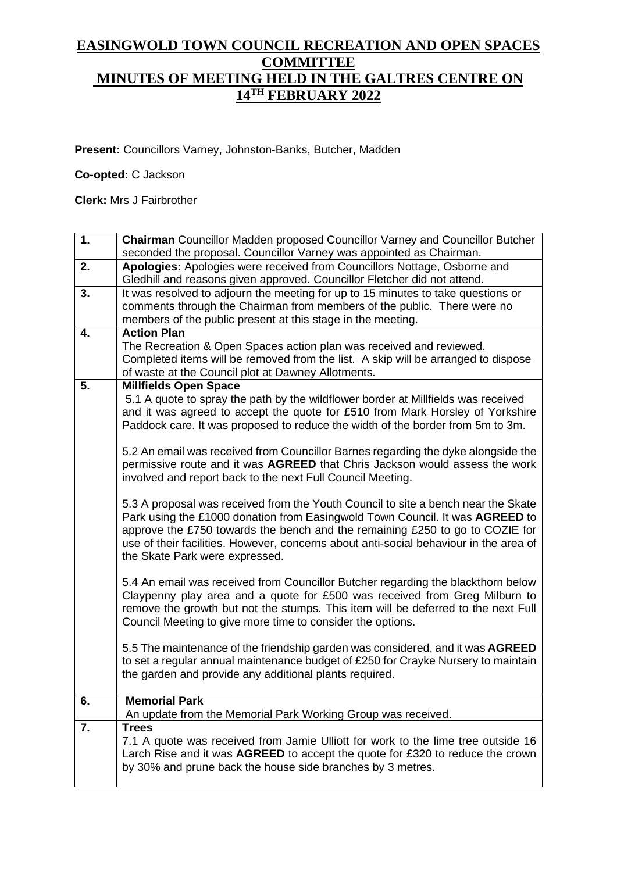## **EASINGWOLD TOWN COUNCIL RECREATION AND OPEN SPACES COMMITTEE MINUTES OF MEETING HELD IN THE GALTRES CENTRE ON 14TH FEBRUARY 2022**

**Present:** Councillors Varney, Johnston-Banks, Butcher, Madden

**Co-opted:** C Jackson

**Clerk:** Mrs J Fairbrother

| 1. | <b>Chairman</b> Councillor Madden proposed Councillor Varney and Councillor Butcher<br>seconded the proposal. Councillor Varney was appointed as Chairman. |
|----|------------------------------------------------------------------------------------------------------------------------------------------------------------|
|    |                                                                                                                                                            |
| 2. | Apologies: Apologies were received from Councillors Nottage, Osborne and<br>Gledhill and reasons given approved. Councillor Fletcher did not attend.       |
| 3. | It was resolved to adjourn the meeting for up to 15 minutes to take questions or                                                                           |
|    | comments through the Chairman from members of the public. There were no                                                                                    |
|    |                                                                                                                                                            |
|    | members of the public present at this stage in the meeting.                                                                                                |
| 4. | <b>Action Plan</b>                                                                                                                                         |
|    | The Recreation & Open Spaces action plan was received and reviewed.                                                                                        |
|    | Completed items will be removed from the list. A skip will be arranged to dispose                                                                          |
|    |                                                                                                                                                            |
|    | of waste at the Council plot at Dawney Allotments.                                                                                                         |
| 5. | <b>Millfields Open Space</b>                                                                                                                               |
|    | 5.1 A quote to spray the path by the wildflower border at Millfields was received                                                                          |
|    | and it was agreed to accept the quote for £510 from Mark Horsley of Yorkshire                                                                              |
|    | Paddock care. It was proposed to reduce the width of the border from 5m to 3m.                                                                             |
|    |                                                                                                                                                            |
|    |                                                                                                                                                            |
|    | 5.2 An email was received from Councillor Barnes regarding the dyke alongside the                                                                          |
|    | permissive route and it was AGREED that Chris Jackson would assess the work                                                                                |
|    | involved and report back to the next Full Council Meeting.                                                                                                 |
|    |                                                                                                                                                            |
|    | 5.3 A proposal was received from the Youth Council to site a bench near the Skate                                                                          |
|    |                                                                                                                                                            |
|    | Park using the £1000 donation from Easingwold Town Council. It was AGREED to                                                                               |
|    | approve the £750 towards the bench and the remaining £250 to go to COZIE for                                                                               |
|    | use of their facilities. However, concerns about anti-social behaviour in the area of                                                                      |
|    | the Skate Park were expressed.                                                                                                                             |
|    |                                                                                                                                                            |
|    | 5.4 An email was received from Councillor Butcher regarding the blackthorn below                                                                           |
|    | Claypenny play area and a quote for £500 was received from Greg Milburn to                                                                                 |
|    |                                                                                                                                                            |
|    | remove the growth but not the stumps. This item will be deferred to the next Full                                                                          |
|    | Council Meeting to give more time to consider the options.                                                                                                 |
|    | 5.5 The maintenance of the friendship garden was considered, and it was AGREED                                                                             |
|    |                                                                                                                                                            |
|    | to set a regular annual maintenance budget of £250 for Crayke Nursery to maintain                                                                          |
|    | the garden and provide any additional plants required.                                                                                                     |
|    |                                                                                                                                                            |
| 6. | <b>Memorial Park</b>                                                                                                                                       |
|    | An update from the Memorial Park Working Group was received.                                                                                               |
| 7. | <b>Trees</b>                                                                                                                                               |
|    | 7.1 A quote was received from Jamie Ulliott for work to the lime tree outside 16                                                                           |
|    |                                                                                                                                                            |
|    | Larch Rise and it was AGREED to accept the quote for £320 to reduce the crown                                                                              |
|    | by 30% and prune back the house side branches by 3 metres.                                                                                                 |
|    |                                                                                                                                                            |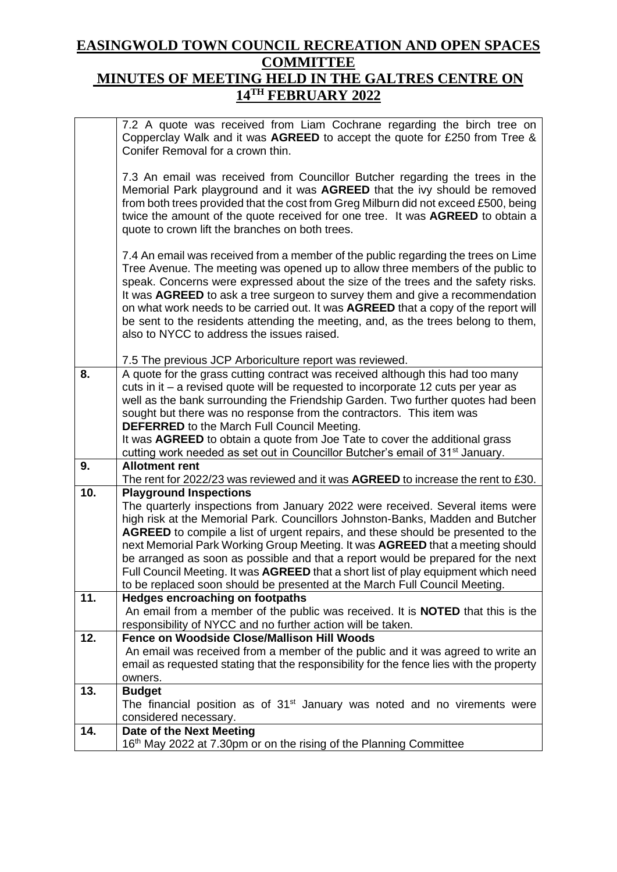## **EASINGWOLD TOWN COUNCIL RECREATION AND OPEN SPACES COMMITTEE MINUTES OF MEETING HELD IN THE GALTRES CENTRE ON**

## **14TH FEBRUARY 2022**

|     | 7.2 A quote was received from Liam Cochrane regarding the birch tree on<br>Copperclay Walk and it was AGREED to accept the quote for £250 from Tree &<br>Conifer Removal for a crown thin.                                                                                                                                                                                                                                                                                                                                                                       |
|-----|------------------------------------------------------------------------------------------------------------------------------------------------------------------------------------------------------------------------------------------------------------------------------------------------------------------------------------------------------------------------------------------------------------------------------------------------------------------------------------------------------------------------------------------------------------------|
|     | 7.3 An email was received from Councillor Butcher regarding the trees in the<br>Memorial Park playground and it was AGREED that the ivy should be removed<br>from both trees provided that the cost from Greg Milburn did not exceed £500, being<br>twice the amount of the quote received for one tree. It was AGREED to obtain a<br>quote to crown lift the branches on both trees.                                                                                                                                                                            |
|     | 7.4 An email was received from a member of the public regarding the trees on Lime<br>Tree Avenue. The meeting was opened up to allow three members of the public to<br>speak. Concerns were expressed about the size of the trees and the safety risks.<br>It was AGREED to ask a tree surgeon to survey them and give a recommendation<br>on what work needs to be carried out. It was AGREED that a copy of the report will<br>be sent to the residents attending the meeting, and, as the trees belong to them,<br>also to NYCC to address the issues raised. |
| 8.  | 7.5 The previous JCP Arboriculture report was reviewed.<br>A quote for the grass cutting contract was received although this had too many                                                                                                                                                                                                                                                                                                                                                                                                                        |
|     | cuts in it – a revised quote will be requested to incorporate 12 cuts per year as                                                                                                                                                                                                                                                                                                                                                                                                                                                                                |
|     | well as the bank surrounding the Friendship Garden. Two further quotes had been                                                                                                                                                                                                                                                                                                                                                                                                                                                                                  |
|     | sought but there was no response from the contractors. This item was                                                                                                                                                                                                                                                                                                                                                                                                                                                                                             |
|     | <b>DEFERRED</b> to the March Full Council Meeting.<br>It was AGREED to obtain a quote from Joe Tate to cover the additional grass                                                                                                                                                                                                                                                                                                                                                                                                                                |
|     | cutting work needed as set out in Councillor Butcher's email of 31 <sup>st</sup> January.                                                                                                                                                                                                                                                                                                                                                                                                                                                                        |
| 9.  | <b>Allotment rent</b>                                                                                                                                                                                                                                                                                                                                                                                                                                                                                                                                            |
| 10. | The rent for 2022/23 was reviewed and it was AGREED to increase the rent to £30.                                                                                                                                                                                                                                                                                                                                                                                                                                                                                 |
|     | <b>Playground Inspections</b><br>The quarterly inspections from January 2022 were received. Several items were                                                                                                                                                                                                                                                                                                                                                                                                                                                   |
|     | high risk at the Memorial Park. Councillors Johnston-Banks, Madden and Butcher                                                                                                                                                                                                                                                                                                                                                                                                                                                                                   |
|     | <b>AGREED</b> to compile a list of urgent repairs, and these should be presented to the                                                                                                                                                                                                                                                                                                                                                                                                                                                                          |
|     | next Memorial Park Working Group Meeting. It was AGREED that a meeting should                                                                                                                                                                                                                                                                                                                                                                                                                                                                                    |
|     | be arranged as soon as possible and that a report would be prepared for the next<br>Full Council Meeting. It was AGREED that a short list of play equipment which need                                                                                                                                                                                                                                                                                                                                                                                           |
|     | to be replaced soon should be presented at the March Full Council Meeting.                                                                                                                                                                                                                                                                                                                                                                                                                                                                                       |
| 11. | <b>Hedges encroaching on footpaths</b>                                                                                                                                                                                                                                                                                                                                                                                                                                                                                                                           |
|     | An email from a member of the public was received. It is <b>NOTED</b> that this is the                                                                                                                                                                                                                                                                                                                                                                                                                                                                           |
| 12. | responsibility of NYCC and no further action will be taken.<br><b>Fence on Woodside Close/Mallison Hill Woods</b>                                                                                                                                                                                                                                                                                                                                                                                                                                                |
|     | An email was received from a member of the public and it was agreed to write an                                                                                                                                                                                                                                                                                                                                                                                                                                                                                  |
|     | email as requested stating that the responsibility for the fence lies with the property                                                                                                                                                                                                                                                                                                                                                                                                                                                                          |
|     | owners.                                                                                                                                                                                                                                                                                                                                                                                                                                                                                                                                                          |
| 13. | <b>Budget</b>                                                                                                                                                                                                                                                                                                                                                                                                                                                                                                                                                    |
|     | The financial position as of 31 <sup>st</sup> January was noted and no virements were<br>considered necessary.                                                                                                                                                                                                                                                                                                                                                                                                                                                   |
| 14. | Date of the Next Meeting                                                                                                                                                                                                                                                                                                                                                                                                                                                                                                                                         |
|     | 16th May 2022 at 7.30pm or on the rising of the Planning Committee                                                                                                                                                                                                                                                                                                                                                                                                                                                                                               |